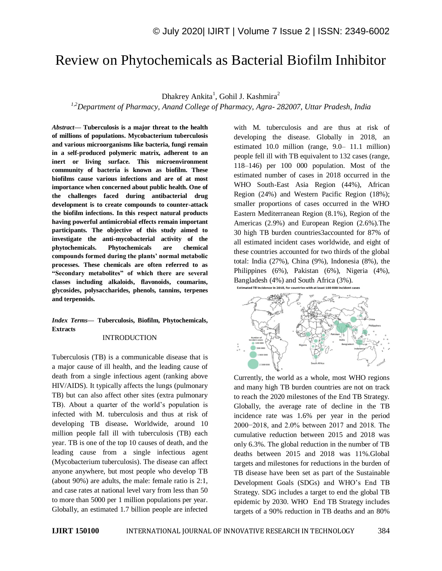# Review on Phytochemicals as Bacterial Biofilm Inhibitor

Dhakrey Ankita<sup>1</sup>, Gohil J. Kashmira<sup>2</sup>

*1,2Department of Pharmacy, Anand College of Pharmacy, Agra- 282007, Uttar Pradesh, India*

*Abstract—* **Tuberculosis is a major threat to the health of millions of populations. Mycobacterium tuberculosis and various microorganisms like bacteria, fungi remain in a self-produced polymeric matrix, adherent to an inert or living surface. This microenvironment community of bacteria is known as biofilm. These biofilms cause various infections and are of at most importance when concerned about public health. One of the challenges faced during antibacterial drug development is to create compounds to counter-attack the biofilm infections. In this respect natural products having powerful antimicrobial effects remain important participants. The objective of this study aimed to investigate the anti-mycobacterial activity of the phytochemicals. Phytochemicals are chemical compounds formed during the plants' normal metabolic processes. These chemicals are often referred to as "Secondary metabolites" of which there are several classes including alkaloids, flavonoids, coumarins, glycosides, polysaccharides, phenols, tannins, terpenes and terpenoids.**

# *Index Terms—* **Tuberculosis, Biofilm, Phytochemicals, Extracts**

## INTRODUCTION

Tuberculosis (TB) is a communicable disease that is a major cause of ill health, and the leading cause of death from a single infectious agent (ranking above HIV/AIDS). It typically affects the lungs (pulmonary TB) but can also affect other sites (extra pulmonary TB). About a quarter of the world's population is infected with M. tuberculosis and thus at risk of developing TB disease**.** Worldwide, around 10 million people fall ill with tuberculosis (TB) each year. TB is one of the top 10 causes of death, and the leading cause from a single infectious agent (Mycobacterium tuberculosis). The disease can affect anyone anywhere, but most people who develop TB (about 90%) are adults, the male: female ratio is 2:1, and case rates at national level vary from less than 50 to more than 5000 per 1 million populations per year. Globally, an estimated 1.7 billion people are infected

with M. tuberculosis and are thus at risk of developing the disease. Globally in 2018, an estimated 10.0 million (range, 9.0– 11.1 million) people fell ill with TB equivalent to 132 cases (range, 118–146) per 100 000 population. Most of the estimated number of cases in 2018 occurred in the WHO South-East Asia Region (44%), African Region (24%) and Western Pacific Region (18%); smaller proportions of cases occurred in the WHO Eastern Mediterranean Region (8.1%), Region of the Americas (2.9%) and European Region (2.6%).The 30 high TB burden countries3accounted for 87% of all estimated incident cases worldwide, and eight of these countries accounted for two thirds of the global total: India (27%), China (9%), Indonesia (8%), the Philippines (6%), Pakistan (6%), Nigeria (4%), Bangladesh (4%) and South Africa (3%). th at least 100 000 incident cases



Currently, the world as a whole, most WHO regions and many high TB burden countries are not on track to reach the 2020 milestones of the End TB Strategy. Globally, the average rate of decline in the TB incidence rate was 1.6% per year in the period 2000−2018, and 2.0% between 2017 and 2018. The cumulative reduction between 2015 and 2018 was only 6.3%. The global reduction in the number of TB deaths between 2015 and 2018 was 11%.Global targets and milestones for reductions in the burden of TB disease have been set as part of the Sustainable Development Goals (SDGs) and WHO's End TB Strategy. SDG includes a target to end the global TB epidemic by 2030. WHO End TB Strategy includes targets of a 90% reduction in TB deaths and an 80%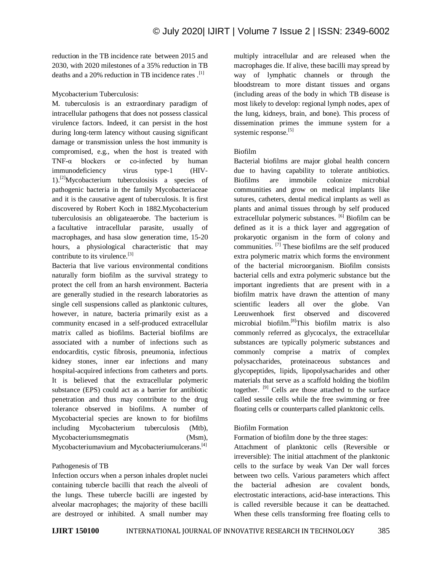reduction in the TB incidence rate between 2015 and 2030, with 2020 milestones of a 35% reduction in TB deaths and a 20% reduction in TB incidence rates .[1]

#### Mycobacterium Tuberculosis:

M. tuberculosis is an extraordinary paradigm of intracellular pathogens that does not possess classical virulence factors. Indeed, it can persist in the host during long-term latency without causing significant damage or transmission unless the host immunity is compromised, e.g., when the host is treated with TNF-α blockers or co-infected by human immunodeficiency virus type-1 (HIV- $1$ .<sup>[2]</sup>Mycobacterium tuberculosis a species of pathogenic bacteria in the family Mycobacteriaceae and it is the causative agent of tuberculosis. It is first discovered by Robert Koch in 1882.Mycobacterium tuberculosisis an obligateaerobe. The bacterium is a facultative intracellular parasite, usually of macrophages, and hasa slow generation time, 15-20 hours, a physiological characteristic that may contribute to its virulence.<sup>[3]</sup>

Bacteria that live various environmental conditions naturally form biofilm as the survival strategy to protect the cell from an harsh environment. Bacteria are generally studied in the research laboratories as single cell suspensions called as planktonic cultures, however, in nature, bacteria primarily exist as a community encased in a self-produced extracellular matrix called as biofilms. Bacterial biofilms are associated with a number of infections such as endocarditis, cystic fibrosis, pneumonia, infectious kidney stones, inner ear infections and many hospital-acquired infections from catheters and ports. It is believed that the extracellular polymeric substance (EPS) could act as a barrier for antibiotic penetration and thus may contribute to the drug tolerance observed in biofilms. A number of Mycobacterial species are known to for biofilms including Mycobacterium tuberculosis (Mtb), Mycobacteriumsmegmatis (Msm), Mycobacteriumavium and Mycobacteriumulcerans.<sup>[4]</sup>

#### Pathogenesis of TB

Infection occurs when a person inhales droplet nuclei containing tubercle bacilli that reach the alveoli of the lungs. These tubercle bacilli are ingested by alveolar macrophages; the majority of these bacilli are destroyed or inhibited. A small number may multiply intracellular and are released when the macrophages die. If alive, these bacilli may spread by way of lymphatic channels or through the bloodstream to more distant tissues and organs (including areas of the body in which TB disease is most likely to develop: regional lymph nodes, apex of the lung, kidneys, brain, and bone). This process of dissemination primes the immune system for a systemic response.<sup>[5]</sup>

#### Biofilm

Bacterial biofilms are major global health concern due to having capability to tolerate antibiotics. Biofilms are immobile colonize microbial communities and grow on medical implants like sutures, catheters, dental medical implants as well as plants and animal tissues through by self produced extracellular polymeric substances. [6] Biofilm can be defined as it is a thick layer and aggregation of prokaryotic organism in the form of colony and communities. [7] These biofilms are the self produced extra polymeric matrix which forms the environment of the bacterial microorganism. Biofilm consists bacterial cells and extra polymeric substance but the important ingredients that are present with in a biofilm matrix have drawn the attention of many scientific leaders all over the globe. Van Leeuwenhoek first observed and discovered microbial biofilm. [8]This biofilm matrix is also commonly referred as glycocalyx, the extracellular substances are typically polymeric substances and commonly comprise a matrix of complex polysaccharides, proteinaceous substances and glycopeptides, lipids, lipopolysacharides and other materials that serve as a scaffold holding the biofilm together. <sup>[9]</sup> Cells are those attached to the surface called sessile cells while the free swimming or free floating cells or counterparts called planktonic cells.

# Biofilm Formation

Formation of biofilm done by the three stages:

Attachment of planktonic cells (Reversible or irreversible): The initial attachment of the planktonic cells to the surface by weak Van Der wall forces between two cells. Various parameters which affect the bacterial adhesion are covalent bonds, electrostatic interactions, acid-base interactions. This is called reversible because it can be deattached. When these cells transforming free floating cells to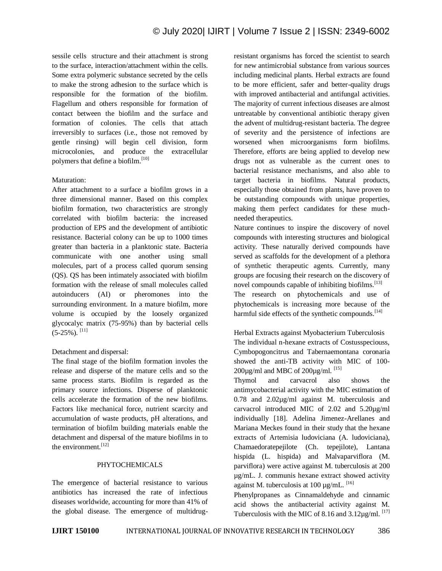sessile cells structure and their attachment is strong to the surface, interaction/attachment within the cells. Some extra polymeric substance secreted by the cells to make the strong adhesion to the surface which is responsible for the formation of the biofilm. Flagellum and others responsible for formation of contact between the biofilm and the surface and formation of colonies. The cells that attach irreversibly to surfaces (i.e., those not removed by gentle rinsing) will begin cell division, form microcolonies, and produce the extracellular polymers that define a biofilm.<sup>[10]</sup>

#### Maturation:

After attachment to a surface a biofilm grows in a three dimensional manner. Based on this complex biofilm formation, two characteristics are strongly correlated with biofilm bacteria: the increased production of EPS and the development of antibiotic resistance. Bacterial colony can be up to 1000 times greater than bacteria in a planktonic state. Bacteria communicate with one another using small molecules, part of a process called quorum sensing (QS). QS has been intimately associated with biofilm formation with the release of small molecules called autoinducers (AI) or pheromones into the surrounding environment. In a mature biofilm, more volume is occupied by the loosely organized glycocalyc matrix (75-95%) than by bacterial cells  $(5-25\%)$ . [11]

#### Detachment and dispersal:

The final stage of the biofilm formation involes the release and disperse of the mature cells and so the same process starts. Biofilm is regarded as the primary source infections. Disperse of planktonic cells accelerate the formation of the new biofilms. Factors like mechanical force, nutrient scarcity and accumulation of waste products, pH alterations, and termination of biofilm building materials enable the detachment and dispersal of the mature biofilms in to the environment $^{[12]}$ 

#### PHYTOCHEMICALS

The emergence of bacterial resistance to various antibiotics has increased the rate of infectious diseases worldwide, accounting for more than 41% of the global disease. The emergence of multidrugresistant organisms has forced the scientist to search for new antimicrobial substance from various sources including medicinal plants. Herbal extracts are found to be more efficient, safer and better-quality drugs with improved antibacterial and antifungal activities. The majority of current infectious diseases are almost untreatable by conventional antibiotic therapy given the advent of multidrug-resistant bacteria. The degree of severity and the persistence of infections are worsened when microorganisms form biofilms. Therefore, efforts are being applied to develop new drugs not as vulnerable as the current ones to bacterial resistance mechanisms, and also able to target bacteria in biofilms. Natural products, especially those obtained from plants, have proven to be outstanding compounds with unique properties, making them perfect candidates for these muchneeded therapeutics.

Nature continues to inspire the discovery of novel compounds with interesting structures and biological activity. These naturally derived compounds have served as scaffolds for the development of a plethora of synthetic therapeutic agents. Currently, many groups are focusing their research on the discovery of novel compounds capable of inhibiting biofilms.<sup>[13]</sup> The research on phytochemicals and use of phytochemicals is increasing more because of the harmful side effects of the synthetic compounds.<sup>[14]</sup>

# Herbal Extracts against Myobacterium Tuberculosis The individual n-hexane extracts of Costusspeciouss, Cymbopogoncitrus and Tabernaemontana coronaria showed the anti-TB activity with MIC of 100- 200 $\mu$ g/ml and MBC of 200 $\mu$ g/ml. [15]

Thymol and carvacrol also shows the antimycobacterial activity with the MIC estimation of 0.78 and 2.02µg/ml against M. tuberculosis and carvacrol introduced MIC of 2.02 and 5.20µg/ml individually [18]. Adelina Jimenez-Arellanes and Mariana Meckes found in their study that the hexane extracts of Artemisia ludoviciana (A. ludoviciana), Chamaedoratepejilote (Ch. tepejilote), Lantana hispida (L. hispida) and Malvaparviflora (M. parviflora) were active against M. tuberculosis at 200 µg/mL. J. communis hexane extract showed activity against M. tuberculosis at 100  $\mu$ g/mL. <sup>[16]</sup>

Phenylpropanes as Cinnamaldehyde and cinnamic acid shows the antibacterial activity against M. Tuberculosis with the MIC of 8.16 and  $3.12\mu$ g/ml. <sup>[17]</sup>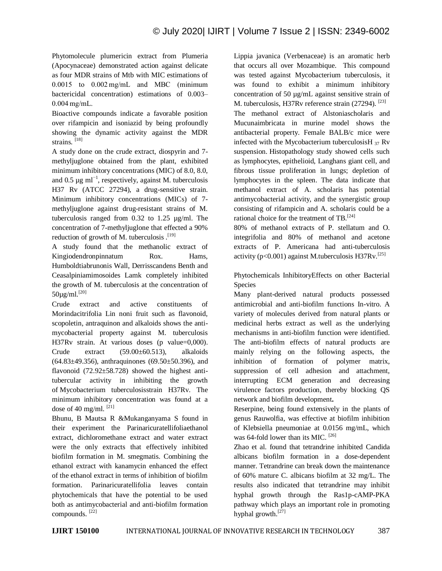Phytomolecule plumericin extract from Plumeria (Apocynaceae) demonstrated action against delicate as four MDR strains of Mtb with MIC estimations of 0.0015 to 0.002 mg/mL and MBC (minimum bactericidal concentration) estimations of 0.003– 0.004 mg/mL.

Bioactive compounds indicate a favorable position over rifampicin and isoniazid by being profoundly showing the dynamic activity against the MDR strains. [18]

A study done on the crude extract, diospyrin and 7 methyljuglone obtained from the plant, exhibited minimum inhibitory concentrations (MIC) of 8.0, 8.0, and 0.5  $\mu$ g ml<sup>-1</sup>, respectively, against M. tuberculosis H37 Rv (ATCC 27294), a drug-sensitive strain. Minimum inhibitory concentrations (MICs) of 7 methyljuglone against drug-resistant strains of M. tuberculosis ranged from 0.32 to 1.25 µg/ml. The concentration of 7-methyljuglone that effected a 90% reduction of growth of M. tuberculosis  $^{[19]}$ 

A study found that the methanolic extract of Kingiodendronpinnatum Rox. Hams, Humboldtiabrunonis Wall, Derrisscandens Benth and Ceasalpiniamimosoides Lamk completely inhibited the growth of M. tuberculosis at the concentration of 50µg/ml.[20]

Crude extract and active constituents of Morindacitrifolia Lin noni fruit such as flavonoid, scopoletin, antraquinon and alkaloids shows the antimycobacterial property against M. tuberculosis H37Rv strain. At various doses (p value=0,000). Crude extract (59.00±60.513), alkaloids (64.83±49.356), anthraquinones (69.50±50.396), and flavonoid (72.92±58.728) showed the highest antitubercular activity in inhibiting the growth of Mycobacterium tuberculosisstrain H37Rv. The minimum inhibitory concentration was found at a dose of 40 mg/ml. [21]

Bhunu, B Mautsa R &Mukanganyama S found in their experiment the Parinaricuratellifoliaethanol extract, dichloromethane extract and water extract were the only extracts that effectively inhibited biofilm formation in M. smegmatis. Combining the ethanol extract with kanamycin enhanced the effect of the ethanol extract in terms of inhibition of biofilm formation. Parinaricuratellifolia leaves contain phytochemicals that have the potential to be used both as antimycobacterial and anti-biofilm formation compounds. [22]

Lippia javanica (Verbenaceae) is an aromatic herb that occurs all over Mozambique. This compound was tested against Mycobacterium tuberculosis, it was found to exhibit a minimum inhibitory concentration of 50 µg/mL against sensitive strain of M. tuberculosis, H37Rv reference strain (27294). [23]

The methanol extract of Alstoniascholaris and Mucunaimbricata in murine model shows the antibacterial property. Female BALB/c mice were infected with the Mycobacterium tuberculosis  $H_{37}$  Rv suspension. Histopathology study showed cells such as lymphocytes, epithelioid, Langhans giant cell, and fibrous tissue proliferation in lungs; depletion of lymphocytes in the spleen. The data indicate that methanol extract of A. scholaris has potential antimycobacterial activity, and the synergistic group consisting of rifampicin and A. scholaris could be a rational choice for the treatment of TB.<sup>[24]</sup>

80% of methanol extracts of P. stellatum and O. integrifolia and 80% of methanol and acetone extracts of P. Americana had anti-tuberculosis activity ( $p<0.001$ ) against M.tuberculosis H37Rv.<sup>[25]</sup>

Phytochemicals InhibitoryEffects on other Bacterial Species

Many plant-derived natural products possessed antimicrobial and anti-biofilm functions In-vitro. A variety of molecules derived from natural plants or medicinal herbs extract as well as the underlying mechanisms in anti-biofilm function were identified. The anti-biofilm effects of natural products are mainly relying on the following aspects, the inhibition of formation of polymer matrix, suppression of cell adhesion and attachment, interrupting ECM generation and decreasing virulence factors production, thereby blocking QS network and biofilm development**.**

Reserpine, being found extensively in the plants of genus Rauwolfia, was effective at biofilm inhibition of Klebsiella pneumoniae at 0.0156 mg/mL, which was 64-fold lower than its MIC. <sup>[26]</sup>

Zhao et al. found that tetrandrine inhibited Candida albicans biofilm formation in a dose-dependent manner. Tetrandrine can break down the maintenance of 60% mature C. albicans biofilm at 32 mg/L. The results also indicated that tetrandrine may inhibit hyphal growth through the Ras1p-cAMP-PKA pathway which plays an important role in promoting hyphal growth.<sup>[27]</sup>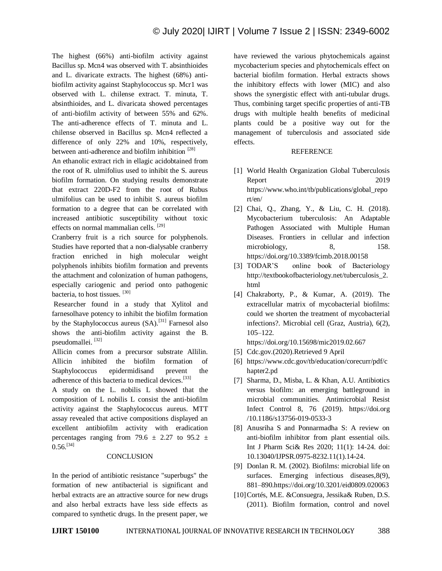The highest (66%) anti-biofilm activity against Bacillus sp. Mcn4 was observed with T. absinthioides and L. divaricate extracts. The highest (68%) antibiofilm activity against Staphylococcus sp. Mcr1 was observed with L. chilense extract. T. minuta, T. absinthioides, and L. divaricata showed percentages of anti-biofilm activity of between 55% and 62%. The anti-adherence effects of T. minuta and L. chilense observed in Bacillus sp. Mcn4 reflected a difference of only 22% and 10%, respectively, between anti-adherence and biofilm inhibition [28]

An ethanolic extract rich in ellagic acidobtained from the root of R. ulmifolius used to inhibit the S. aureus biofilm formation. On studying results demonstrate that extract 220D-F2 from the root of Rubus ulmifolius can be used to inhibit S. aureus biofilm formation to a degree that can be correlated with increased antibiotic susceptibility without toxic effects on normal mammalian cells. [29]

Cranberry fruit is a rich source for polyphenols. Studies have reported that a non-dialysable cranberry fraction enriched in high molecular weight polyphenols inhibits biofilm formation and prevents the attachment and colonization of human pathogens, especially cariogenic and period onto pathogenic bacteria, to host tissues. [30]

Researcher found in a study that Xylitol and farnesolhave potency to inhibit the biofilm formation by the Staphylococcus aureus (SA).<sup>[31]</sup> Farnesol also shows the anti-biofilm activity against the B. pseudomallei. [32]

Allicin comes from a precursor substrate Allilin. Allicin inhibited the biofilm formation of Staphylococcus epidermidisand prevent the adherence of this bacteria to medical devices.<sup>[33]</sup>

A study on the L. nobilis L showed that the composition of L nobilis L consist the anti-biofilm activity against the Staphylococcus aureus. MTT assay revealed that active compositions displayed an excellent antibiofilm activity with eradication percentages ranging from 79.6  $\pm$  2.27 to 95.2  $\pm$  $0.56$ <sup>[34]</sup>

#### **CONCLUSION**

In the period of antibiotic resistance "superbugs" the formation of new antibacterial is significant and herbal extracts are an attractive source for new drugs and also herbal extracts have less side effects as compared to synthetic drugs. In the present paper, we

have reviewed the various phytochemicals against mycobacterium species and phytochemicals effect on bacterial biofilm formation. Herbal extracts shows the inhibitory effects with lower (MIC) and also shows the synergistic effect with anti-tubular drugs. Thus, combining target specific properties of anti-TB drugs with multiple health benefits of medicinal plants could be a positive way out for the management of tuberculosis and associated side effects.

#### REFERENCE

- [1] World Health Organization Global Tuberculosis Report 2019 https://www.who.int/tb/publications/global\_repo rt/en/
- [2] Chai, O., Zhang, Y., & Liu, C. H. (2018). Mycobacterium tuberculosis: An Adaptable Pathogen Associated with Multiple Human Diseases. Frontiers in cellular and infection microbiology, 8, 158. https://doi.org/10.3389/fcimb.2018.00158
- [3] TODAR'S online book of Bacteriology http://textbookofbacteriology.net/tuberculosis\_2. html
- [4] Chakraborty, P., & Kumar, A. (2019). The extracellular matrix of mycobacterial biofilms: could we shorten the treatment of mycobacterial infections?. Microbial cell (Graz, Austria), 6(2), 105–122.

https://doi.org/10.15698/mic2019.02.667

- [5] Cdc.gov.(2020).Retrieved 9 April
- [6] https://www.cdc.gov/tb/education/corecurr/pdf/c hapter2.pd
- [7] Sharma, D., Misba, L. & Khan, A.U. Antibiotics versus biofilm: an emerging battleground in microbial communities. Antimicrobial Resist Infect Control 8, 76 (2019). https://doi.org /10.1186/s13756-019-0533-3
- [8] Anusriha S and Ponnarmadha S: A review on anti-biofilm inhibitor from plant essential oils. Int J Pharm Sci& Res 2020; 11(1): 14-24. doi: 10.13040/IJPSR.0975-8232.11(1).14-24.
- [9] Donlan R. M. (2002). Biofilms: microbial life on surfaces. Emerging infectious diseases,  $8(9)$ , 881–890.https://doi.org/10.3201/eid0809.020063
- [10]Cortés, M.E. &Consuegra, Jessika& Ruben, D.S. (2011). Biofilm formation, control and novel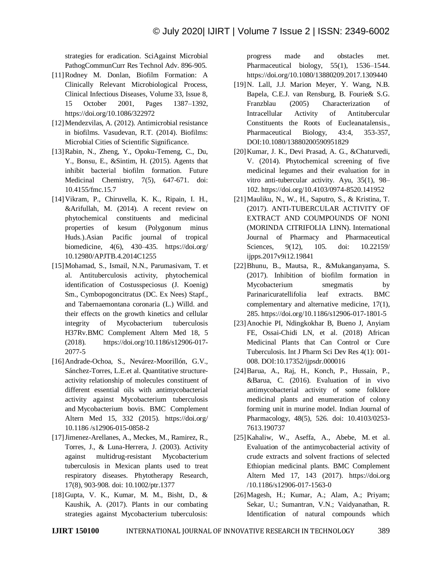strategies for eradication. SciAgainst Microbial PathogCommunCurr Res Technol Adv. 896-905.

- [11]Rodney M. Donlan, Biofilm Formation: A Clinically Relevant Microbiological Process, Clinical Infectious Diseases, Volume 33, Issue 8, 15 October 2001, Pages 1387–1392, https://doi.org/10.1086/322972
- [12]Mendezvilas, A. (2012). Antimicrobial resistance in biofilms. Vasudevan, R.T. (2014). Biofilms: Microbial Cities of Scientific Significance.
- [13]Rabin, N., Zheng, Y., Opoku-Temeng, C., Du, Y., Bonsu, E., &Sintim, H. (2015). Agents that inhibit bacterial biofilm formation. Future Medicinal Chemistry, 7(5), 647-671. doi: 10.4155/fmc.15.7
- [14]Vikram, P., Chiruvella, K. K., Ripain, I. H., &Arifullah, M. (2014). A recent review on phytochemical constituents and medicinal properties of kesum (Polygonum minus Huds.).Asian Pacific journal of tropical biomedicine, 4(6), 430–435. https://doi.org/ 10.12980/APJTB.4.2014C1255
- [15]Mohamad, S., Ismail, N.N., Parumasivam, T. et al. Antituberculosis activity, phytochemical identification of Costusspeciosus (J. Koenig) Sm., Cymbopogoncitratus (DC. Ex Nees) Stapf., and Tabernaemontana coronaria (L.) Willd. and their effects on the growth kinetics and cellular integrity of Mycobacterium tuberculosis H37Rv.BMC Complement Altern Med 18, 5 (2018). https://doi.org/10.1186/s12906-017- 2077-5
- [16]Andrade-Ochoa, S., Nevárez-Moorillón, G.V., Sánchez-Torres, L.E.et al. Quantitative structureactivity relationship of molecules constituent of different essential oils with antimycobacterial activity against Mycobacterium tuberculosis and Mycobacterium bovis. BMC Complement Altern Med 15, 332 (2015). https://doi.org/ 10.1186 /s12906-015-0858-2
- [17]Jimenez-Arellanes, A., Meckes, M., Ramirez, R., Torres, J., & Luna-Herrera, J. (2003). Activity against multidrug-resistant Mycobacterium tuberculosis in Mexican plants used to treat respiratory diseases. Phytotherapy Research, 17(8), 903-908. doi: 10.1002/ptr.1377
- [18]Gupta, V. K., Kumar, M. M., Bisht, D., & Kaushik, A. (2017). Plants in our combating strategies against Mycobacterium tuberculosis:

progress made and obstacles met. Pharmaceutical biology, 55(1), 1536–1544. https://doi.org/10.1080/13880209.2017.1309440

- [19]N. Lall, J.J. Marion Meyer, Y. Wang, N.B. Bapela, C.E.J. van Rensburg, B. Fourie& S.G. Franzblau (2005) Characterization of Intracellular Activity of Antitubercular Constituents the Roots of Eucleanatalensis., Pharmaceutical Biology, 43:4, 353-357, DOI:10.1080/13880200590951829
- [20]Kumar, J. K., Devi Prasad, A. G., &Chaturvedi, V. (2014). Phytochemical screening of five medicinal legumes and their evaluation for in vitro anti-tubercular activity. Ayu, 35(1), 98– 102. https://doi.org/10.4103/0974-8520.141952
- [21]Mauliku, N., W., H., Saputro, S., & Kristina, T. (2017). ANTI-TUBERCULAR ACTIVITY OF EXTRACT AND COUMPOUNDS OF NONI (MORINDA CITRIFOLIA LINN). International Journal of Pharmacy and Pharmaceutical Sciences, 9(12), 105. doi: 10.22159/ ijpps.2017v9i12.19841
- [22]Bhunu, B., Mautsa, R., &Mukanganyama, S. (2017). Inhibition of biofilm formation in Mycobacterium smegmatis by Parinaricuratellifolia leaf extracts. BMC complementary and alternative medicine, 17(1), 285. https://doi.org/10.1186/s12906-017-1801-5
- [23]Anochie PI, Ndingkokhar B, Bueno J, Anyiam FE, Ossai-Chidi LN, et al. (2018) African Medicinal Plants that Can Control or Cure Tuberculosis. Int J Pharm Sci Dev Res 4(1): 001- 008. DOI:10.17352/ijpsdr.000016
- [24]Barua, A., Raj, H., Konch, P., Hussain, P., &Barua, C. (2016). Evaluation of in vivo antimycobacterial activity of some folklore medicinal plants and enumeration of colony forming unit in murine model. Indian Journal of Pharmacology, 48(5), 526. doi: 10.4103/0253- 7613.190737
- [25]Kahaliw, W., Aseffa, A., Abebe, M. et al. Evaluation of the antimycobacterial activity of crude extracts and solvent fractions of selected Ethiopian medicinal plants. BMC Complement Altern Med 17, 143 (2017). https://doi.org /10.1186/s12906-017-1563-0
- [26]Magesh, H.; Kumar, A.; Alam, A.; Priyam; Sekar, U.; Sumantran, V.N.; Vaidyanathan, R. Identification of natural compounds which